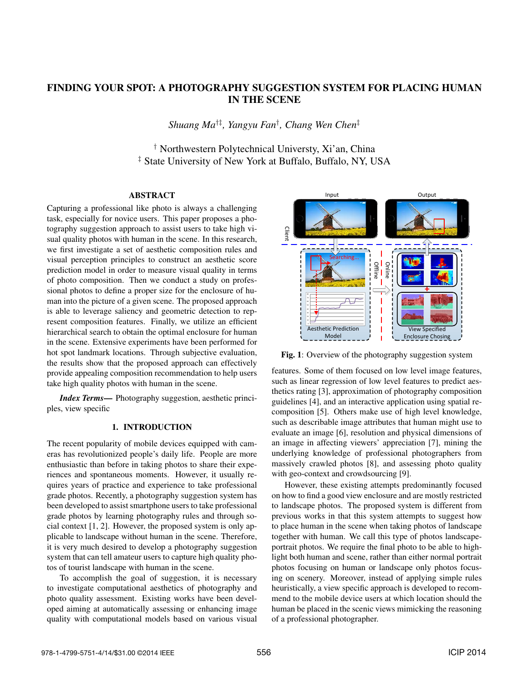# FINDING YOUR SPOT: A PHOTOGRAPHY SUGGESTION SYSTEM FOR PLACING HUMAN IN THE SCENE

*Shuang Ma*†‡*, Yangyu Fan*† *, Chang Wen Chen*‡

† Northwestern Polytechnical Universty, Xi'an, China ‡ State University of New York at Buffalo, Buffalo, NY, USA

## **ABSTRACT**

Capturing a professional like photo is always a challenging task, especially for novice users. This paper proposes a photography suggestion approach to assist users to take high visual quality photos with human in the scene. In this research, we first investigate a set of aesthetic composition rules and visual perception principles to construct an aesthetic score prediction model in order to measure visual quality in terms of photo composition. Then we conduct a study on professional photos to define a proper size for the enclosure of human into the picture of a given scene. The proposed approach is able to leverage saliency and geometric detection to represent composition features. Finally, we utilize an efficient hierarchical search to obtain the optimal enclosure for human in the scene. Extensive experiments have been performed for hot spot landmark locations. Through subjective evaluation, the results show that the proposed approach can effectively provide appealing composition recommendation to help users take high quality photos with human in the scene.

*Index Terms*— Photography suggestion, aesthetic principles, view specific

## 1. INTRODUCTION

The recent popularity of mobile devices equipped with cameras has revolutionized people's daily life. People are more enthusiastic than before in taking photos to share their experiences and spontaneous moments. However, it usually requires years of practice and experience to take professional grade photos. Recently, a photography suggestion system has been developed to assist smartphone users to take professional grade photos by learning photography rules and through social context [1, 2]. However, the proposed system is only applicable to landscape without human in the scene. Therefore, it is very much desired to develop a photography suggestion system that can tell amateur users to capture high quality photos of tourist landscape with human in the scene.

To accomplish the goal of suggestion, it is necessary to investigate computational aesthetics of photography and photo quality assessment. Existing works have been developed aiming at automatically assessing or enhancing image quality with computational models based on various visual



Fig. 1: Overview of the photography suggestion system

features. Some of them focused on low level image features, such as linear regression of low level features to predict aesthetics rating [3], approximation of photography composition guidelines [4], and an interactive application using spatial recomposition [5]. Others make use of high level knowledge, such as describable image attributes that human might use to evaluate an image [6], resolution and physical dimensions of an image in affecting viewers' appreciation [7], mining the underlying knowledge of professional photographers from massively crawled photos [8], and assessing photo quality with geo-context and crowdsourcing [9].

However, these existing attempts predominantly focused on how to find a good view enclosure and are mostly restricted to landscape photos. The proposed system is different from previous works in that this system attempts to suggest how to place human in the scene when taking photos of landscape together with human. We call this type of photos landscapeportrait photos. We require the final photo to be able to highlight both human and scene, rather than either normal portrait photos focusing on human or landscape only photos focusing on scenery. Moreover, instead of applying simple rules heuristically, a view specific approach is developed to recommend to the mobile device users at which location should the human be placed in the scenic views mimicking the reasoning of a professional photographer.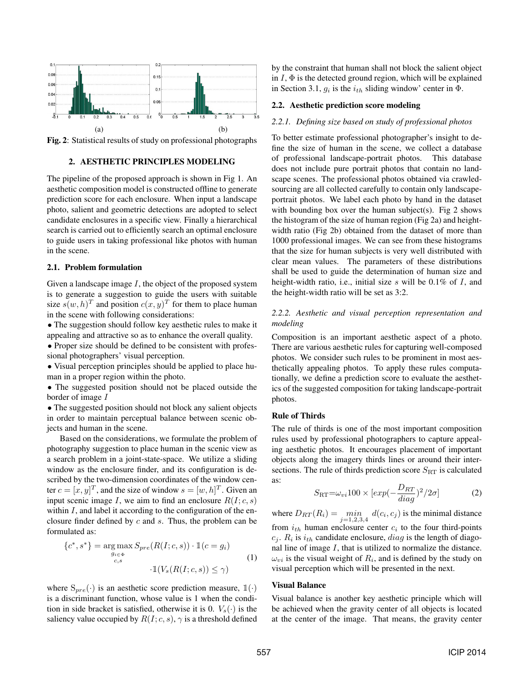

Fig. 2: Statistical results of study on professional photographs

# 2. AESTHETIC PRINCIPLES MODELING

The pipeline of the proposed approach is shown in Fig 1. An aesthetic composition model is constructed offline to generate prediction score for each enclosure. When input a landscape photo, salient and geometric detections are adopted to select candidate enclosures in a specific view. Finally a hierarchical search is carried out to efficiently search an optimal enclosure to guide users in taking professional like photos with human in the scene.

## 2.1. Problem formulation

Given a landscape image  $I$ , the object of the proposed system is to generate a suggestion to guide the users with suitable size  $s(w, h)^T$  and position  $c(x, y)^T$  for them to place human in the scene with following considerations:

• The suggestion should follow key aesthetic rules to make it appealing and attractive so as to enhance the overall quality.

• Proper size should be defined to be consistent with professional photographers' visual perception.

• Visual perception principles should be applied to place human in a proper region within the photo.

• The suggested position should not be placed outside the border of image I

• The suggested position should not block any salient objects in order to maintain perceptual balance between scenic objects and human in the scene.

Based on the considerations, we formulate the problem of photography suggestion to place human in the scenic view as a search problem in a joint-state-space. We utilize a sliding window as the enclosure finder, and its configuration is described by the two-dimension coordinates of the window center  $c = [x, y]^T$ , and the size of window  $s = [w, h]^T$ . Given an input scenic image L we aim to find an enclosure  $R(L, c, s)$ input scenic image I, we aim to find an enclosure  $R(I; c, s)$ within  $I$ , and label it according to the configuration of the enclosure finder defined by c and s. Thus, the problem can be formulated as:

$$
\{c^*, s^*\} = \underset{\substack{g_{i \in \Phi} \\ c,s}}{\arg \max} S_{pre}(R(I; c, s)) \cdot \mathbb{1}(c = g_i)
$$
\n
$$
\cdot \mathbb{1}(V_s(R(I; c, s)) \le \gamma)
$$
\n
$$
(1)
$$

where  $S_{pre}(\cdot)$  is an aesthetic score prediction measure,  $\mathbb{1}(\cdot)$ is a discriminant function, whose value is 1 when the condition in side bracket is satisfied, otherwise it is 0.  $V_s(\cdot)$  is the saliency value occupied by  $R(I; c, s)$ ,  $\gamma$  is a threshold defined

by the constraint that human shall not block the salient object in  $I$ ,  $\Phi$  is the detected ground region, which will be explained in Section 3.1,  $q_i$  is the  $i_{th}$  sliding window' center in  $\Phi$ .

## 2.2. Aesthetic prediction score modeling

#### *2.2.1. Defining size based on study of professional photos*

To better estimate professional photographer's insight to define the size of human in the scene, we collect a database of professional landscape-portrait photos. This database does not include pure portrait photos that contain no landscape scenes. The professional photos obtained via crawledsourcing are all collected carefully to contain only landscapeportrait photos. We label each photo by hand in the dataset with bounding box over the human subject(s). Fig 2 shows the histogram of the size of human region (Fig 2a) and heightwidth ratio (Fig 2b) obtained from the dataset of more than 1000 professional images. We can see from these histograms that the size for human subjects is very well distributed with clear mean values. The parameters of these distributions shall be used to guide the determination of human size and height-width ratio, i.e., initial size s will be  $0.1\%$  of I, and the height-width ratio will be set as 3:2.

# *2.2.2. Aesthetic and visual perception representation and modeling*

Composition is an important aesthetic aspect of a photo. There are various aesthetic rules for capturing well-composed photos. We consider such rules to be prominent in most aesthetically appealing photos. To apply these rules computationally, we define a prediction score to evaluate the aesthetics of the suggested composition for taking landscape-portrait photos.

## Rule of Thirds

The rule of thirds is one of the most important composition rules used by professional photographers to capture appealing aesthetic photos. It encourages placement of important objects along the imagery thirds lines or around their intersections. The rule of thirds prediction score  $S_{\rm RT}$  is calculated as:

$$
S_{\rm RT} = \omega_{vi} 100 \times \left[ exp(-\frac{D_{RT}}{diag})^2 / 2\sigma \right] \tag{2}
$$

where  $D_{RT}(R_i) = \min_{j=1,2,3,4} d(c_i, c_j)$  is the minimal distance<br>from  $i$ , burner and principle agents  $c_i$  to the four third points from  $i_{th}$  human enclosure center  $c_i$  to the four third-points  $c_i$ .  $R_i$  is  $i_{th}$  candidate enclosure, *diag* is the length of diagonal line of image  $I$ , that is utilized to normalize the distance.  $\omega_{vi}$  is the visual weight of  $R_i$ , and is defined by the study on visual perception which will be presented in the next.

#### Visual Balance

Visual balance is another key aesthetic principle which will be achieved when the gravity center of all objects is located at the center of the image. That means, the gravity center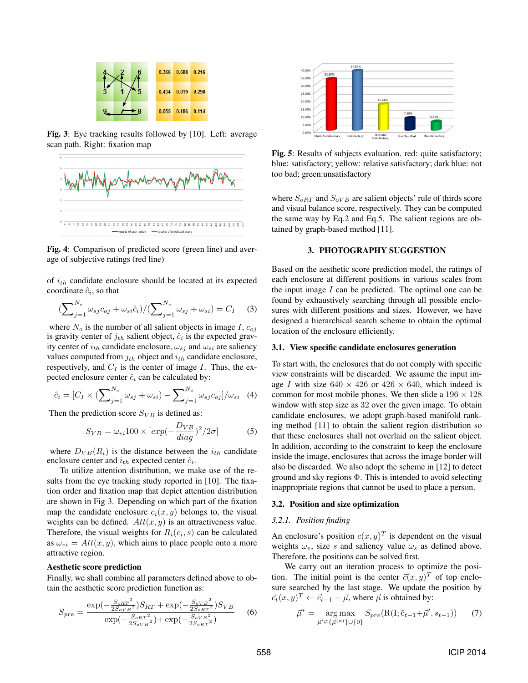

Fig. 3: Eye tracking results followed by [10]. Left: average scan path. Right: fixation map



Fig. 4: Comparison of predicted score (green line) and average of subjective ratings (red line)

of  $i_{th}$  candidate enclosure should be located at its expected coordinate  $\hat{c}_i$ , so that

$$
\left(\sum_{j=1}^{N_o} \omega_{sj} c_{oj} + \omega_{si} \hat{c}_i\right) / \left(\sum_{j=1}^{N_o} \omega_{sj} + \omega_{si}\right) = C_I \tag{3}
$$

where  $N_o$  is the number of all salient objects in image I,  $c_{oj}$ is gravity center of  $j_{th}$  salient object,  $\hat{c}_i$  is the expected gravity center of  $i_{th}$  candidate enclosure,  $\omega_{sj}$  and  $\omega_{si}$  are saliency values computed from  $j_{th}$  object and  $i_{th}$  candidate enclosure, respectively, and  $C_I$  is the center of image I. Thus, the expected enclosure center  $\hat{c}_i$  can be calculated by:

$$
\hat{c}_i = [C_I \times (\sum_{j=1}^{N_o} \omega_{sj} + \omega_{si}) - \sum_{j=1}^{N_o} \omega_{sj} c_{oj}] / \omega_{si} \quad (4)
$$

Then the prediction score  $S_{VB}$  is defined as:

$$
S_{VB} = \omega_{vi} 100 \times \left[ exp(-\frac{D_{VB}}{diag})^2 / 2\sigma \right] \tag{5}
$$

where  $D_{VB}(R_i)$  is the distance between the  $i_{th}$  candidate enclosure center and  $i_{th}$  expected center  $\hat{c}_i$ .

To utilize attention distribution, we make use of the results from the eye tracking study reported in [10]. The fixation order and fixation map that depict attention distribution are shown in Fig 3. Depending on which part of the fixation map the candidate enclosure  $c_i(x, y)$  belongs to, the visual weights can be defined.  $Att(x, y)$  is an attractiveness value. Therefore, the visual weights for  $R_i(c_i, s)$  can be calculated as  $\omega_{vi} = Att(x, y)$ , which aims to place people onto a more attractive region.

#### Aesthetic score prediction

Finally, we shall combine all parameters defined above to obtain the aesthetic score prediction function as:

$$
S_{pre} = \frac{\exp(-\frac{S_{oRT}^{2}}{2S_{oVB}^{2}})S_{RT} + \exp(-\frac{S_{oVB}^{2}}{2S_{oRT}^{2}})S_{VB}}{\exp(-\frac{S_{oRF}^{2}}{2S_{oVB}^{2}}) + \exp(-\frac{S_{oVB}^{2}}{2S_{oRT}^{2}})}
$$
(6)



Fig. 5: Results of subjects evaluation. red: quite satisfactory; blue: satisfactory; yellow: relative satisfactory; dark blue: not too bad; green:unsatisfactory

where  $S_{oRT}$  and  $S_{oVB}$  are salient objects' rule of thirds score and visual balance score, respectively. They can be computed the same way by Eq.2 and Eq.5. The salient regions are obtained by graph-based method [11].

#### 3. PHOTOGRAPHY SUGGESTION

Based on the aesthetic score prediction model, the ratings of each enclosure at different positions in various scales from the input image  $I$  can be predicted. The optimal one can be found by exhaustively searching through all possible enclosures with different positions and sizes. However, we have designed a hierarchical search scheme to obtain the optimal location of the enclosure efficiently.

#### 3.1. View specific candidate enclosures generation

To start with, the enclosures that do not comply with specific view constraints will be discarded. We assume the input image I with size  $640 \times 426$  or  $426 \times 640$ , which indeed is common for most mobile phones. We then slide a  $196 \times 128$ window with step size as 32 over the given image. To obtain candidate enclosures, we adopt graph-based manifold ranking method [11] to obtain the salient region distribution so that these enclosures shall not overlaid on the salient object. In addition, according to the constraint to keep the enclosure inside the image, enclosures that across the image border will also be discarded. We also adopt the scheme in [12] to detect ground and sky regions Φ. This is intended to avoid selecting inappropriate regions that cannot be used to place a person.

#### 3.2. Position and size optimization

#### *3.2.1. Position finding*

An enclosure's position  $c(x, y)^T$  is dependent on the visual weights  $\omega_v$ , size s and saliency value  $\omega_s$  as defined above. Therefore, the positions can be solved first.

We carry out an iteration process to optimize the position. The initial point is the center  $\vec{c}(x, y)^T$  of top enclosure searched by the last stage. We update the position by  $\vec{c}_t(x, y)^T \leftarrow \vec{c}_{t-1} + \vec{\mu}$ , where  $\vec{\mu}$  is obtained by:

$$
\vec{\mu}^* = \underset{\vec{\mu}' \in \{\vec{\mu}^{(n)}\} \cup \{0\}}{\arg \max} S_{pre}(\mathcal{R}(\mathcal{I}; \tilde{c}_{t-1} + \vec{\mu}', s_{t-1})) \tag{7}
$$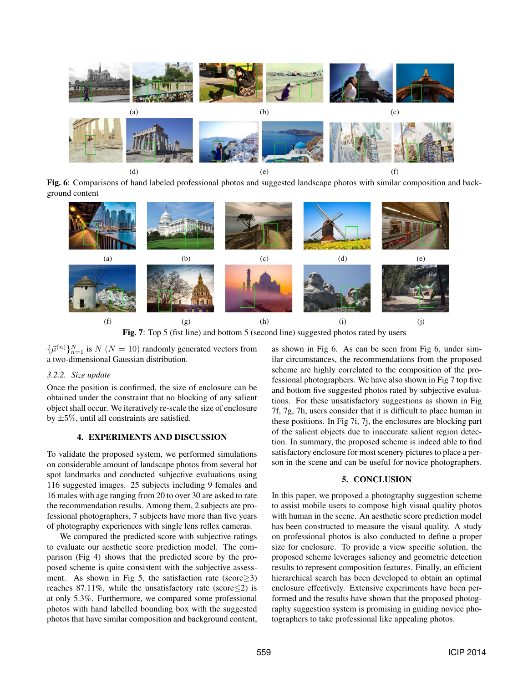

Fig. 6: Comparisons of hand labeled professional photos and suggested landscape photos with similar composition and background content



Fig. 7: Top 5 (fist line) and bottom 5 (second line) suggested photos rated by users

 $\{\vec{\mu}^{(n)}\}_{n=1}^{N}$  is  $N(N = 10)$  randomly generated vectors from<br>a two-dimensional Gaussian distribution a two-dimensional Gaussian distribution.

#### *3.2.2. Size update*

Once the position is confirmed, the size of enclosure can be obtained under the constraint that no blocking of any salient object shall occur. We iteratively re-scale the size of enclosure by  $\pm 5\%$ , until all constraints are satisfied.

## 4. EXPERIMENTS AND DISCUSSION

To validate the proposed system, we performed simulations on considerable amount of landscape photos from several hot spot landmarks and conducted subjective evaluations using 116 suggested images. 25 subjects including 9 females and 16 males with age ranging from 20 to over 30 are asked to rate the recommendation results. Among them, 2 subjects are professional photographers, 7 subjects have more than five years of photography experiences with single lens reflex cameras.

We compared the predicted score with subjective ratings to evaluate our aesthetic score prediction model. The comparison (Fig 4) shows that the predicted score by the proposed scheme is quite consistent with the subjective assessment. As shown in Fig 5, the satisfaction rate (score $\geq$ 3) reaches 87.11%, while the unsatisfactory rate (score $\leq$ 2) is at only 5.3%. Furthermore, we compared some professional photos with hand labelled bounding box with the suggested photos that have similar composition and background content,

as shown in Fig 6. As can be seen from Fig 6, under similar circumstances, the recommendations from the proposed scheme are highly correlated to the composition of the professional photographers. We have also shown in Fig 7 top five and bottom five suggested photos rated by subjective evaluations. For these unsatisfactory suggestions as shown in Fig 7f, 7g, 7h, users consider that it is difficult to place human in these positions. In Fig 7i, 7j, the enclosures are blocking part of the salient objects due to inaccurate salient region detection. In summary, the proposed scheme is indeed able to find satisfactory enclosure for most scenery pictures to place a person in the scene and can be useful for novice photographers.

## 5. CONCLUSION

In this paper, we proposed a photography suggestion scheme to assist mobile users to compose high visual quality photos with human in the scene. An aesthetic score prediction model has been constructed to measure the visual quality. A study on professional photos is also conducted to define a proper size for enclosure. To provide a view specific solution, the proposed scheme leverages saliency and geometric detection results to represent composition features. Finally, an efficient hierarchical search has been developed to obtain an optimal enclosure effectively. Extensive experiments have been performed and the results have shown that the proposed photography suggestion system is promising in guiding novice photographers to take professional like appealing photos.